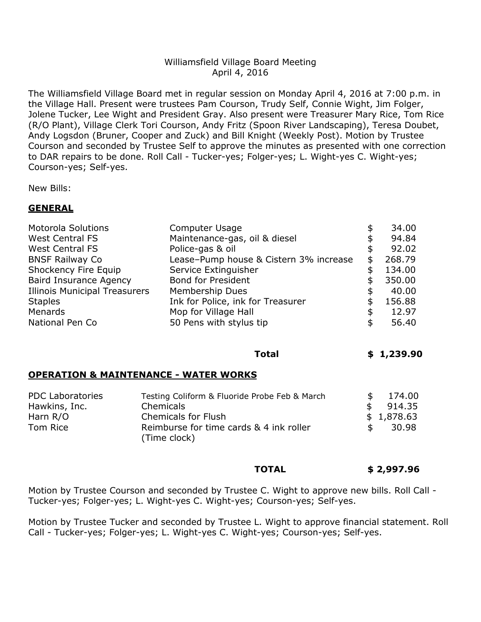### Williamsfield Village Board Meeting April 4, 2016

The Williamsfield Village Board met in regular session on Monday April 4, 2016 at 7:00 p.m. in the Village Hall. Present were trustees Pam Courson, Trudy Self, Connie Wight, Jim Folger, Jolene Tucker, Lee Wight and President Gray. Also present were Treasurer Mary Rice, Tom Rice (R/O Plant), Village Clerk Tori Courson, Andy Fritz (Spoon River Landscaping), Teresa Doubet, Andy Logsdon (Bruner, Cooper and Zuck) and Bill Knight (Weekly Post). Motion by Trustee Courson and seconded by Trustee Self to approve the minutes as presented with one correction to DAR repairs to be done. Roll Call - Tucker-yes; Folger-yes; L. Wight-yes C. Wight-yes; Courson-yes; Self-yes.

New Bills:

#### **GENERAL**

| <b>Motorola Solutions</b>            | Computer Usage                         | \$<br>34.00  |
|--------------------------------------|----------------------------------------|--------------|
| <b>West Central FS</b>               | Maintenance-gas, oil & diesel          | \$<br>94.84  |
| <b>West Central FS</b>               | Police-gas & oil                       | \$<br>92.02  |
| <b>BNSF Railway Co</b>               | Lease-Pump house & Cistern 3% increase | \$<br>268.79 |
| Shockency Fire Equip                 | Service Extinguisher                   | \$<br>134.00 |
| <b>Baird Insurance Agency</b>        | <b>Bond for President</b>              | \$<br>350.00 |
| <b>Illinois Municipal Treasurers</b> | Membership Dues                        | \$<br>40.00  |
| <b>Staples</b>                       | Ink for Police, ink for Treasurer      | \$<br>156.88 |
| Menards                              | Mop for Village Hall                   | \$<br>12.97  |
| National Pen Co                      | 50 Pens with stylus tip                | \$<br>56.40  |

**Total \$ 1,239.90**

#### **OPERATION & MAINTENANCE - WATER WORKS**

| <b>PDC Laboratories</b> | Testing Coliform & Fluoride Probe Feb & March           |     | 174.00     |
|-------------------------|---------------------------------------------------------|-----|------------|
| Hawkins, Inc.           | Chemicals                                               |     | 914.35     |
| Harn $R/O$              | <b>Chemicals for Flush</b>                              |     | \$1,878.63 |
| Tom Rice                | Reimburse for time cards & 4 ink roller<br>(Time clock) | SS. | -30.98     |

## **TOTAL \$ 2,997.96**

Motion by Trustee Courson and seconded by Trustee C. Wight to approve new bills. Roll Call - Tucker-yes; Folger-yes; L. Wight-yes C. Wight-yes; Courson-yes; Self-yes.

Motion by Trustee Tucker and seconded by Trustee L. Wight to approve financial statement. Roll Call - Tucker-yes; Folger-yes; L. Wight-yes C. Wight-yes; Courson-yes; Self-yes.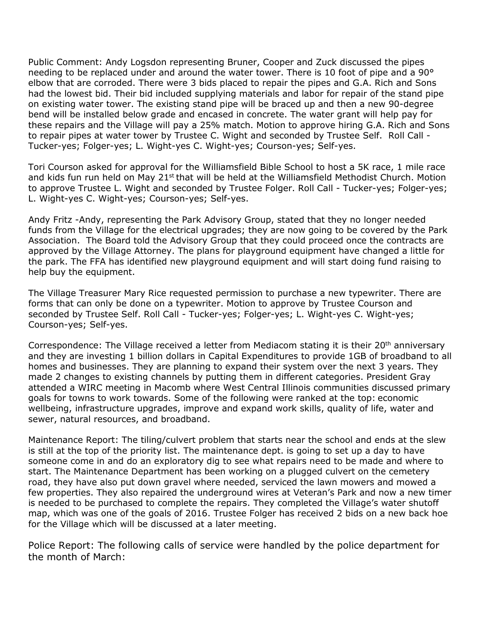Public Comment: Andy Logsdon representing Bruner, Cooper and Zuck discussed the pipes needing to be replaced under and around the water tower. There is 10 foot of pipe and a 90° elbow that are corroded. There were 3 bids placed to repair the pipes and G.A. Rich and Sons had the lowest bid. Their bid included supplying materials and labor for repair of the stand pipe on existing water tower. The existing stand pipe will be braced up and then a new 90-degree bend will be installed below grade and encased in concrete. The water grant will help pay for these repairs and the Village will pay a 25% match. Motion to approve hiring G.A. Rich and Sons to repair pipes at water tower by Trustee C. Wight and seconded by Trustee Self. Roll Call - Tucker-yes; Folger-yes; L. Wight-yes C. Wight-yes; Courson-yes; Self-yes.

Tori Courson asked for approval for the Williamsfield Bible School to host a 5K race, 1 mile race and kids fun run held on May 21<sup>st</sup> that will be held at the Williamsfield Methodist Church. Motion to approve Trustee L. Wight and seconded by Trustee Folger. Roll Call - Tucker-yes; Folger-yes; L. Wight-yes C. Wight-yes; Courson-yes; Self-yes.

Andy Fritz -Andy, representing the Park Advisory Group, stated that they no longer needed funds from the Village for the electrical upgrades; they are now going to be covered by the Park Association. The Board told the Advisory Group that they could proceed once the contracts are approved by the Village Attorney. The plans for playground equipment have changed a little for the park. The FFA has identified new playground equipment and will start doing fund raising to help buy the equipment.

The Village Treasurer Mary Rice requested permission to purchase a new typewriter. There are forms that can only be done on a typewriter. Motion to approve by Trustee Courson and seconded by Trustee Self. Roll Call - Tucker-yes; Folger-yes; L. Wight-yes C. Wight-yes; Courson-yes; Self-yes.

Correspondence: The Village received a letter from Mediacom stating it is their 20<sup>th</sup> anniversary and they are investing 1 billion dollars in Capital Expenditures to provide 1GB of broadband to all homes and businesses. They are planning to expand their system over the next 3 years. They made 2 changes to existing channels by putting them in different categories. President Gray attended a WIRC meeting in Macomb where West Central Illinois communities discussed primary goals for towns to work towards. Some of the following were ranked at the top: economic wellbeing, infrastructure upgrades, improve and expand work skills, quality of life, water and sewer, natural resources, and broadband.

Maintenance Report: The tiling/culvert problem that starts near the school and ends at the slew is still at the top of the priority list. The maintenance dept. is going to set up a day to have someone come in and do an exploratory dig to see what repairs need to be made and where to start. The Maintenance Department has been working on a plugged culvert on the cemetery road, they have also put down gravel where needed, serviced the lawn mowers and mowed a few properties. They also repaired the underground wires at Veteran's Park and now a new timer is needed to be purchased to complete the repairs. They completed the Village's water shutoff map, which was one of the goals of 2016. Trustee Folger has received 2 bids on a new back hoe for the Village which will be discussed at a later meeting.

Police Report: The following calls of service were handled by the police department for the month of March: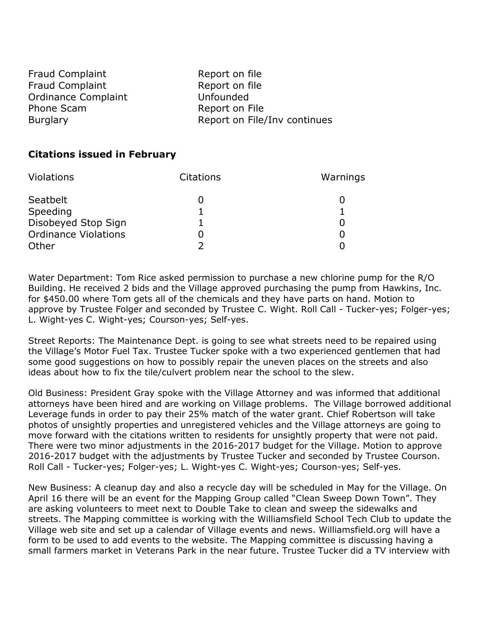| <b>Fraud Complaint</b>     | Report on file               |
|----------------------------|------------------------------|
| <b>Fraud Complaint</b>     | Report on file               |
| <b>Ordinance Complaint</b> | Unfounded                    |
| Phone Scam                 | Report on File               |
| <b>Burglary</b>            | Report on File/Inv continues |

# **Citations issued in February**

| Violations                  | <b>Citations</b> | Warnings |
|-----------------------------|------------------|----------|
| Seatbelt                    |                  |          |
| Speeding                    |                  |          |
| Disobeyed Stop Sign         |                  |          |
| <b>Ordinance Violations</b> |                  |          |
| Other                       |                  |          |

Water Department: Tom Rice asked permission to purchase a new chlorine pump for the R/O Building. He received 2 bids and the Village approved purchasing the pump from Hawkins, Inc. for \$450.00 where Tom gets all of the chemicals and they have parts on hand. Motion to approve by Trustee Folger and seconded by Trustee C. Wight. Roll Call - Tucker-yes; Folger-yes; L. Wight-yes C. Wight-yes; Courson-yes; Self-yes.

Street Reports: The Maintenance Dept. is going to see what streets need to be repaired using the Village's Motor Fuel Tax. Trustee Tucker spoke with a two experienced gentlemen that had some good suggestions on how to possibly repair the uneven places on the streets and also ideas about how to fix the tile/culvert problem near the school to the slew.

Old Business: President Gray spoke with the Village Attorney and was informed that additional attorneys have been hired and are working on Village problems. The Village borrowed additional Leverage funds in order to pay their 25% match of the water grant. Chief Robertson will take photos of unsightly properties and unregistered vehicles and the Village attorneys are going to move forward with the citations written to residents for unsightly property that were not paid. There were two minor adjustments in the 2016-2017 budget for the Village. Motion to approve 2016-2017 budget with the adjustments by Trustee Tucker and seconded by Trustee Courson. Roll Call - Tucker-yes; Folger-yes; L. Wight-yes C. Wight-yes; Courson-yes; Self-yes.

New Business: A cleanup day and also a recycle day will be scheduled in May for the Village. On April 16 there will be an event for the Mapping Group called "Clean Sweep Down Town". They are asking volunteers to meet next to Double Take to clean and sweep the sidewalks and streets. The Mapping committee is working with the Williamsfield School Tech Club to update the Village web site and set up a calendar of Village events and news. Williamsfield.org will have a form to be used to add events to the website. The Mapping committee is discussing having a small farmers market in Veterans Park in the near future. Trustee Tucker did a TV interview with